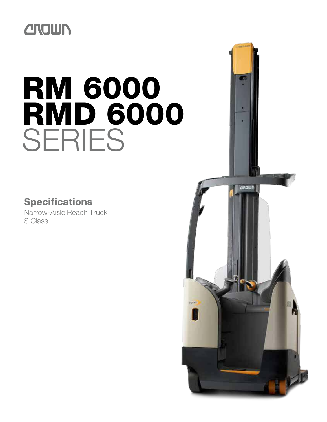## **CROWN**

# RM 6000 **RMD 6000** SERIES

### Specifications

Narrow-Aisle Reach Truck S Class

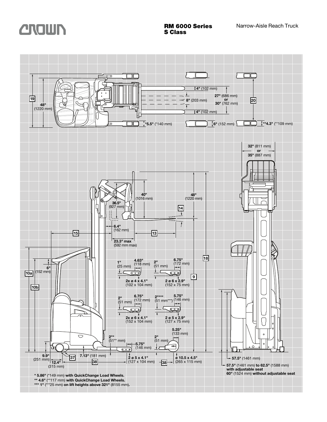

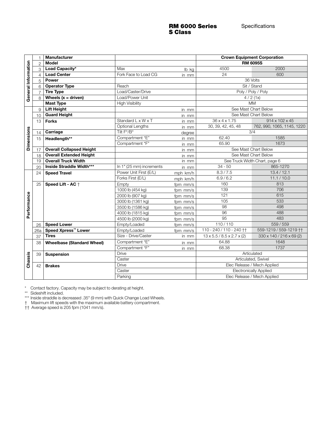#### RM 6000 Series S Class

|                      |                                                                                                                                                                                                                                                                                      | <b>Manufacturer</b>               |                          |          |                                             | <b>Crown Equipment Corporation</b> |  |  |  |  |  |
|----------------------|--------------------------------------------------------------------------------------------------------------------------------------------------------------------------------------------------------------------------------------------------------------------------------------|-----------------------------------|--------------------------|----------|---------------------------------------------|------------------------------------|--|--|--|--|--|
|                      | $\overline{2}$                                                                                                                                                                                                                                                                       | <b>Model</b>                      |                          |          |                                             | <b>RM 6095S</b>                    |  |  |  |  |  |
|                      | 3                                                                                                                                                                                                                                                                                    | Load Capacity*                    | Max                      | lb kg    | 4500                                        | 2000                               |  |  |  |  |  |
|                      | $\overline{4}$                                                                                                                                                                                                                                                                       | <b>Load Center</b>                | Fork Face to Load CG     | in mm    | 24                                          | 600                                |  |  |  |  |  |
|                      | 5                                                                                                                                                                                                                                                                                    | <b>Power</b>                      |                          |          |                                             | 36 Volts                           |  |  |  |  |  |
|                      | 6                                                                                                                                                                                                                                                                                    | <b>Operator Type</b>              | Reach                    |          | Sit / Stand                                 |                                    |  |  |  |  |  |
| General Information  |                                                                                                                                                                                                                                                                                      | <b>Tire Type</b>                  | Load/Caster/Drive        |          |                                             | Poly / Poly / Poly                 |  |  |  |  |  |
|                      | 8                                                                                                                                                                                                                                                                                    | Wheels $(x = driven)$             | Load/Power Unit          |          | 4/2(1x)                                     |                                    |  |  |  |  |  |
|                      |                                                                                                                                                                                                                                                                                      | <b>Mast Type</b>                  | <b>High Visibility</b>   |          |                                             | <b>MM</b>                          |  |  |  |  |  |
|                      | 9                                                                                                                                                                                                                                                                                    | <b>Lift Height</b>                |                          | in mm    | See Mast Chart Below                        |                                    |  |  |  |  |  |
|                      | 10                                                                                                                                                                                                                                                                                   | <b>Guard Height</b>               |                          | in mm    |                                             | See Mast Chart Below               |  |  |  |  |  |
|                      | 13                                                                                                                                                                                                                                                                                   | <b>Forks</b>                      | Standard L x W x T       | in mm    | 36 x 4 x 1.75                               | 914 x 102 x 45                     |  |  |  |  |  |
|                      |                                                                                                                                                                                                                                                                                      |                                   | Optional Lengths         | in mm    | 30, 39, 42, 45, 48                          | 762, 990, 1065, 1145, 1220         |  |  |  |  |  |
|                      | 14                                                                                                                                                                                                                                                                                   | Carriage                          | Tilt F°/B°               | degree   |                                             | 3/4                                |  |  |  |  |  |
| <b>Dimensions</b>    | 15                                                                                                                                                                                                                                                                                   | Headlength**                      | Compartment "E"          | in mm    | 62.40                                       | 1585                               |  |  |  |  |  |
|                      |                                                                                                                                                                                                                                                                                      |                                   | Compartment "F"          | in mm    | 65.90                                       | 1673                               |  |  |  |  |  |
|                      | 17                                                                                                                                                                                                                                                                                   | <b>Overall Collapsed Height</b>   |                          | in mm    |                                             | See Mast Chart Below               |  |  |  |  |  |
|                      | 18                                                                                                                                                                                                                                                                                   | <b>Overall Extended Height</b>    |                          | in mm    |                                             | See Mast Chart Below               |  |  |  |  |  |
|                      | 19                                                                                                                                                                                                                                                                                   | <b>Overall Truck Width</b>        |                          | in mm    |                                             | See Truck Width Chart, page 6      |  |  |  |  |  |
|                      | 20                                                                                                                                                                                                                                                                                   | Inside Straddle Width***          | In 1" (25 mm) increments | in mm    | $34 - 50$                                   | 865-1270                           |  |  |  |  |  |
|                      | 24                                                                                                                                                                                                                                                                                   | <b>Speed Travel</b>               | Power Unit First (E/L)   | mph km/h | 8.3 / 7.5                                   | 13.4 / 12.1                        |  |  |  |  |  |
|                      |                                                                                                                                                                                                                                                                                      |                                   | Forks First (E/L)        | mph km/h | 6.9/6.2                                     | 11.1 / 10.0                        |  |  |  |  |  |
|                      | 25                                                                                                                                                                                                                                                                                   | Speed Lift - AC +                 | Empty                    | fpm mm/s | 160                                         | 813                                |  |  |  |  |  |
|                      |                                                                                                                                                                                                                                                                                      |                                   | 1000 lb (454 kg)         | fpm mm/s | 139                                         | 706                                |  |  |  |  |  |
|                      |                                                                                                                                                                                                                                                                                      |                                   | 2000 lb (907 kg)         | fpm mm/s | 121                                         | 615                                |  |  |  |  |  |
|                      |                                                                                                                                                                                                                                                                                      |                                   | 3000 lb (1361 kg)        | fpm mm/s | 105                                         | 533                                |  |  |  |  |  |
| Performance          |                                                                                                                                                                                                                                                                                      |                                   | 3500 lb (1586 kg)        | fpm mm/s | $\overline{98}$                             | 498                                |  |  |  |  |  |
|                      |                                                                                                                                                                                                                                                                                      |                                   | 4000 lb (1815 kg)        | fpm mm/s | 96                                          | 488                                |  |  |  |  |  |
|                      |                                                                                                                                                                                                                                                                                      |                                   | 4500 lb (2000 kg)        | fpm mm/s | 95                                          | 483                                |  |  |  |  |  |
|                      | 26                                                                                                                                                                                                                                                                                   | <b>Speed Lower</b>                | Empty/Loaded             | fpm mm/s | 110/110                                     | 559/559                            |  |  |  |  |  |
|                      | 26a                                                                                                                                                                                                                                                                                  | Speed Xpress <sup>™</sup> Lower   | Empty/Loaded             | fpm mm/s | 110 - 240 / 110 - 240 ++                    | 559-1219 / 559-1219 ++             |  |  |  |  |  |
|                      | 37                                                                                                                                                                                                                                                                                   | <b>Tires</b>                      | Size - Drive/Caster      | in mm    | $13 \times 5.5 / 8.5 \times 2.7 \times (2)$ | 330 x 140 / 216 x 69 (2)           |  |  |  |  |  |
|                      | 38                                                                                                                                                                                                                                                                                   | <b>Wheelbase (Standard Wheel)</b> | Compartment "E"          | in mm    | 64.88                                       | 1648                               |  |  |  |  |  |
|                      |                                                                                                                                                                                                                                                                                      |                                   | Compartment "F"          | in mm    | 68.38                                       | 1737                               |  |  |  |  |  |
|                      | 39                                                                                                                                                                                                                                                                                   | <b>Suspension</b>                 | Drive                    |          |                                             | Articulated                        |  |  |  |  |  |
| Chassis              |                                                                                                                                                                                                                                                                                      |                                   | Caster                   |          |                                             | Articulated, Swivel                |  |  |  |  |  |
|                      | 42                                                                                                                                                                                                                                                                                   | <b>Brakes</b>                     | Drive                    |          |                                             | Elec Release / Mech Applied        |  |  |  |  |  |
|                      |                                                                                                                                                                                                                                                                                      |                                   | Caster                   |          |                                             | <b>Electronically Applied</b>      |  |  |  |  |  |
|                      |                                                                                                                                                                                                                                                                                      |                                   | Parking                  |          |                                             | Elec Release / Mech Applied        |  |  |  |  |  |
| $\star\star$<br>$^+$ | Contact factory. Capacity may be subject to derating at height.<br>Sideshift included.<br>Inside straddle is decreased .35" (9 mm) with Quick Change Load Wheels.<br>Maximum lift speeds with the maximum available battery compartment.<br>†† Average speed is 205 fpm (1041 mm/s). |                                   |                          |          |                                             |                                    |  |  |  |  |  |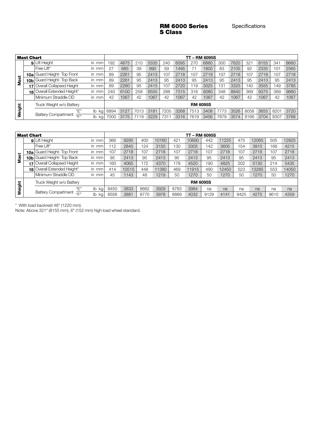#### RM 6000 Series S Class

|             | <b>Mast Chart</b> |                                          |           | <b>TT-RM 6095S</b> |          |          |      |      |      |      |                 |      |      |              |      |          |      |
|-------------|-------------------|------------------------------------------|-----------|--------------------|----------|----------|------|------|------|------|-----------------|------|------|--------------|------|----------|------|
|             |                   | <b>9</b> Lift Height                     | in<br>mm  | 192                | 4875     | 210      | 5335 | 240  | 6095 | 270  | 6860            | 300  | 7620 | $32^{\circ}$ | 8155 | 341      | 8660 |
|             |                   | Free Lift*                               | in<br>mm  | 27                 | 685      | 39       | 990  | 59   | 1495 |      | 1800            | 83   | 2105 | 92           | 2335 | $10^{-}$ | 2565 |
|             |                   | 10a Guard Height- Top Front              | in mm     | 89                 | 2261     | 95       | 2413 | 107  | 2718 | 107  | 2718            | 107  | 2718 | 107          | 2718 | 107      | 2718 |
| <b>Mast</b> |                   | 10b Guard Height- Top Back               | in mm     | 89                 | 2261     | 95       | 2413 | 95   | 2413 | 95   | 2413            | 95   | 2413 | 95           | 2413 | 95       | 2413 |
|             |                   | Overall Collapsed Height                 | in mm     | 89                 | 2260     | 95       | 2415 | 107  | 2720 | 119  | 3025            | 131  | 3325 | 140          | 3555 | 149      | 3785 |
|             | 181               | Overall Extended Height*                 | in mm     | 240                | 6100     | 258      | 6555 | 288  | 7315 | 318  | <b>8080</b>     | 348  | 8840 | 369          | 9375 | 389      | 9880 |
|             |                   | Minimum Straddle OD                      | in mm     | 42                 | 1067     | 42       | 1067 | 42   | 1067 | 42   | 1067            | 42   | 1067 | 42           | 1067 | 42       | 1067 |
|             |                   | Truck Weight w/o Battery                 |           |                    |          |          |      |      |      |      | <b>RM 6095S</b> |      |      |              |      |          |      |
| Weight      |                   | "F"                                      | lb.<br>kg | 6894               | 3127     | 701<br>З | 3181 | 7205 | 3268 | 7513 | 3408            | 773  | 3526 | 8058         | 3655 | 8201     | 3720 |
|             |                   | Battery Compartment $\frac{1}{\sqrt{2}}$ | kg        | 7000               | 75<br>31 | 119      | 3229 | 731  | 3316 | 7619 | 3456            | 7879 | 3574 | 8166         | 3704 | 8307     | 3768 |

|             | <b>Mast Chart</b> |                                             |                     | - RM 6095S      |       |      |       |      |       |      |       |      |       |      |       |  |
|-------------|-------------------|---------------------------------------------|---------------------|-----------------|-------|------|-------|------|-------|------|-------|------|-------|------|-------|--|
|             |                   | 9 Lift Height                               | in<br>mm            | 366             | 9295  | 400  | 10160 | 421  | 10690 | 442  | 1225  | 475  | 12065 | 505  | 12825 |  |
|             |                   | Free Lift*                                  | in<br>mm            | 12              | 2845  | 124  | 3150  | 130  | 3305  | 142  | 3605  | 154  | 3910  | 166  | 4215  |  |
|             |                   | 10a Guard Height- Top Front                 | mm<br>in.           | 107             | 2718  | 107  | 2718  | 107  | 2718  | 107  | 2718  | 107  | 2718  | 107  | 2718  |  |
| <b>Mast</b> |                   | 10b Guard Height- Top Back                  | in<br>mm            | 95              | 2413  | 95   | 2413  | 95   | 2413  | 95   | 2413  | 95   | 2413  | 95   | 2413  |  |
|             | 17                | Overall Collapsed Height                    | <i>in</i><br>mm     | 160             | 4065  | 172  | 4370  | 178  | 4520  | 190  | 4825  | 202  | 5130  | 214  | 5435  |  |
|             |                   | <b>18 Overall Extended Height*</b>          | in.<br>mm           | 414             | 10515 | 448  | 11380 | 469  | 11915 | 490  | 12450 | 523  | 13285 | 553  | 14050 |  |
|             |                   | Minimum Straddle OD                         | in<br>mm            | 45              | 1143  | 48   | 1219  | 50   | 1270  | 50   | 1270  | 50   | 1270  | 50   | 1270  |  |
|             |                   | Truck Weight w/o Battery                    |                     | <b>RM 6095S</b> |       |      |       |      |       |      |       |      |       |      |       |  |
| Weight      |                   | "F"                                         | $\mathsf{lb}$<br>kg | 8450            | 3833  | 8662 | 3929  | 8783 | 3984  | na   | na    | na   | na    | na   | na    |  |
|             |                   | Battery Compartment $\frac{1}{\sqrt{2\pi}}$ | $\mathbb{I}$<br>kg  | 8556            | 3881  | 8770 | 3978  | 8889 | 4032  | 9129 | 4141  | 9425 | 4275  | 9610 | 4359  |  |

\* With load backrest 48" (1220 mm).

Note: Above 321" (8155 mm), 6" (152 mm) high load wheel standard.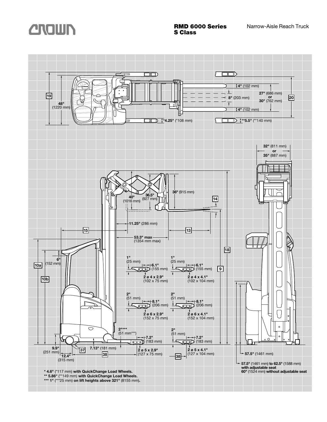

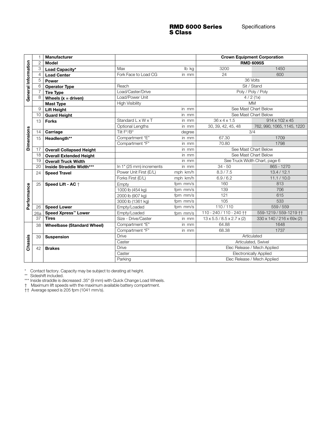#### RMD 6000 Series S Class

|                     |                                                                                                                                                                                                                                                                                            | <b>Manufacturer</b>               |                          |                                   |                                             | <b>Crown Equipment Corporation</b> |  |  |  |  |  |  |  |
|---------------------|--------------------------------------------------------------------------------------------------------------------------------------------------------------------------------------------------------------------------------------------------------------------------------------------|-----------------------------------|--------------------------|-----------------------------------|---------------------------------------------|------------------------------------|--|--|--|--|--|--|--|
|                     | $\overline{2}$                                                                                                                                                                                                                                                                             | <b>Model</b>                      |                          |                                   |                                             | <b>RMD 6095S</b>                   |  |  |  |  |  |  |  |
|                     | 3                                                                                                                                                                                                                                                                                          | Load Capacity*                    | Max                      | lb kg                             | 3200                                        | 1450                               |  |  |  |  |  |  |  |
|                     | 4                                                                                                                                                                                                                                                                                          | <b>Load Center</b>                | Fork Face to Load CG     | in mm                             | 24                                          | 600                                |  |  |  |  |  |  |  |
| General Information | 5                                                                                                                                                                                                                                                                                          | Power                             |                          |                                   |                                             | 36 Volts                           |  |  |  |  |  |  |  |
|                     | 6                                                                                                                                                                                                                                                                                          | <b>Operator Type</b>              | Reach                    |                                   | Sit / Stand                                 |                                    |  |  |  |  |  |  |  |
|                     |                                                                                                                                                                                                                                                                                            | <b>Tire Type</b>                  | Load/Caster/Drive        |                                   | Poly / Poly / Poly                          |                                    |  |  |  |  |  |  |  |
|                     | 8                                                                                                                                                                                                                                                                                          | Wheels $(x = driven)$             | Load/Power Unit          |                                   |                                             | 4/2(1x)                            |  |  |  |  |  |  |  |
|                     |                                                                                                                                                                                                                                                                                            | <b>Mast Type</b>                  | <b>High Visibility</b>   |                                   |                                             | <b>MM</b>                          |  |  |  |  |  |  |  |
|                     | 9                                                                                                                                                                                                                                                                                          | <b>Lift Height</b>                |                          | in mm                             |                                             | See Mast Chart Below               |  |  |  |  |  |  |  |
|                     | 10                                                                                                                                                                                                                                                                                         | <b>Guard Height</b>               |                          | in mm                             |                                             | See Mast Chart Below               |  |  |  |  |  |  |  |
|                     | 13                                                                                                                                                                                                                                                                                         | <b>Forks</b>                      | Standard L x W x T       | $36 \times 4 \times 1.5$<br>in mm |                                             |                                    |  |  |  |  |  |  |  |
|                     |                                                                                                                                                                                                                                                                                            |                                   | Optional Lengths         | in mm                             | 30, 39, 42, 45, 48                          | 762, 990, 1065, 1145, 1220         |  |  |  |  |  |  |  |
|                     | 14                                                                                                                                                                                                                                                                                         | Carriage                          | Tilt F°/B°               | degree                            |                                             | 3/4                                |  |  |  |  |  |  |  |
|                     | 15                                                                                                                                                                                                                                                                                         | Headlength**                      | Compartment "E"          | in mm                             | 67.30                                       | 1709                               |  |  |  |  |  |  |  |
| <b>Dimensions</b>   |                                                                                                                                                                                                                                                                                            |                                   | Compartment "F"          | in mm                             | 70.80                                       | 1798                               |  |  |  |  |  |  |  |
|                     | 17                                                                                                                                                                                                                                                                                         | <b>Overall Collapsed Height</b>   |                          | in mm                             |                                             | See Mast Chart Below               |  |  |  |  |  |  |  |
|                     | 18                                                                                                                                                                                                                                                                                         | <b>Overall Extended Height</b>    |                          | in mm                             |                                             | See Mast Chart Below               |  |  |  |  |  |  |  |
|                     | 19                                                                                                                                                                                                                                                                                         | <b>Overall Truck Width</b>        |                          | in mm                             |                                             | See Truck Width Chart, page 6      |  |  |  |  |  |  |  |
|                     | 20                                                                                                                                                                                                                                                                                         | Inside Straddle Width***          | In 1" (25 mm) increments | in mm                             | $34 - 50$                                   | 865 - 1270                         |  |  |  |  |  |  |  |
|                     | 24                                                                                                                                                                                                                                                                                         | <b>Speed Travel</b>               | Power Unit First (E/L)   | mph km/h                          | 8.3 / 7.5                                   | 13.4/12.1                          |  |  |  |  |  |  |  |
|                     |                                                                                                                                                                                                                                                                                            |                                   | Forks First (E/L)        | mph km/h                          | 6.9/6.2                                     | 11.1 / 10.0                        |  |  |  |  |  |  |  |
|                     | 25                                                                                                                                                                                                                                                                                         | Speed Lift - AC +                 | Empty                    | fpm mm/s                          | 160                                         | 813                                |  |  |  |  |  |  |  |
|                     |                                                                                                                                                                                                                                                                                            |                                   | 1000 lb (454 kg)         | fpm mm/s                          | 139                                         | 706                                |  |  |  |  |  |  |  |
|                     |                                                                                                                                                                                                                                                                                            |                                   | 2000 lb (907 kg)         | fpm mm/s                          | 121                                         | 615                                |  |  |  |  |  |  |  |
| Performance         |                                                                                                                                                                                                                                                                                            |                                   | 3000 lb (1361 kg)        | fpm mm/s                          | 105                                         | 533                                |  |  |  |  |  |  |  |
|                     | 26                                                                                                                                                                                                                                                                                         | <b>Speed Lower</b>                | Empty/Loaded             | fpm mm/s                          | 110/110                                     | 559 / 559                          |  |  |  |  |  |  |  |
|                     | 26a                                                                                                                                                                                                                                                                                        | Speed Xpress <sup>™</sup> Lower   | Empty/Loaded             | fpm mm/s                          | 110 - 240 / 110 - 240 † †                   | 559-1219 / 559-1219 ††             |  |  |  |  |  |  |  |
|                     | 37                                                                                                                                                                                                                                                                                         | <b>Tires</b>                      | Size - Drive/Caster      | in mm                             | $13 \times 5.5 / 8.5 \times 2.7 \times (2)$ | 330 x 140 / 216 x 69x (2)          |  |  |  |  |  |  |  |
|                     | 38                                                                                                                                                                                                                                                                                         | <b>Wheelbase (Standard Wheel)</b> | Compartment "E"          | in mm                             | 64.88                                       | 1648                               |  |  |  |  |  |  |  |
|                     |                                                                                                                                                                                                                                                                                            |                                   | Compartment "F"          | in mm                             | 68.38                                       | 1737                               |  |  |  |  |  |  |  |
| Chassis             | 39                                                                                                                                                                                                                                                                                         | <b>Suspension</b>                 | <b>Drive</b>             |                                   |                                             | Articulated                        |  |  |  |  |  |  |  |
|                     |                                                                                                                                                                                                                                                                                            |                                   | Caster                   |                                   |                                             | Articulated, Swivel                |  |  |  |  |  |  |  |
|                     | 42                                                                                                                                                                                                                                                                                         | <b>Brakes</b>                     | <b>Drive</b>             |                                   |                                             | Elec Release / Mech Applied        |  |  |  |  |  |  |  |
|                     |                                                                                                                                                                                                                                                                                            |                                   | Caster                   |                                   |                                             | <b>Electronically Applied</b>      |  |  |  |  |  |  |  |
|                     | Elec Release / Mech Applied<br>Parking                                                                                                                                                                                                                                                     |                                   |                          |                                   |                                             |                                    |  |  |  |  |  |  |  |
| $^{\star\star}$     | Contact factory. Capacity may be subject to derating at height.<br>Sideshift included.<br>*** Inside straddle is decreased .35" (9 mm) with Quick Change Load Wheels.<br>† Maximum lift speeds with the maximum available battery compartment.<br>†† Average speed is 205 fpm (1041 mm/s). |                                   |                          |                                   |                                             |                                    |  |  |  |  |  |  |  |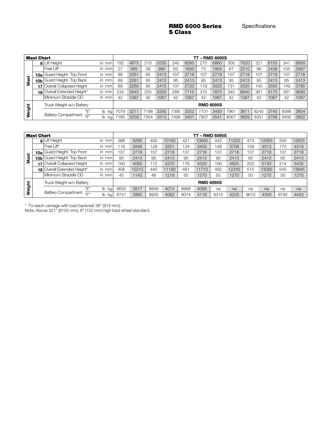#### RMD 6000 Series S Class

|             | <b>Mast Chart</b> |                                               |                    |      |      |      |      |      |      |      | - RMD 6095S      |      |      |         |      |                |      |
|-------------|-------------------|-----------------------------------------------|--------------------|------|------|------|------|------|------|------|------------------|------|------|---------|------|----------------|------|
|             | 9                 | Lift Height                                   | in.<br>mm          | 192  | 4875 | 210  | 5335 | 240  | 6095 | 270  | 6860             | 300  | 7620 | 321     | 8155 | 341            | 8660 |
|             |                   | Free Lift*                                    | in<br>mm           | 27   | 685  | 39   | 990  | 63   | 1600 | 75   | 1905             | 87   | 2210 | 96      | 2438 | 0 <sub>5</sub> | 2667 |
|             | 10a               | Guard Height- Top Front                       | in<br>mm           | 89   | 2261 | 95   | 2413 | 107  | 2718 | 107  | 2718             | 107  | 2718 | 107     | 2718 | 07             | 2718 |
| <b>Mast</b> | 10b l             | Guard Height-Top Back                         | in<br>mm           | 89   | 2261 | 95   | 2413 | 95   | 2413 | 95   | 2413             | 95   | 2413 | 95      | 2413 | 95             | 2413 |
|             |                   | Overall Collapsed Height                      | in<br>mm           | 89   | 2260 | 95   | 2415 | 107  | 2720 | 19   | 3025             | 131  | 3325 | 140     | 3555 | 49             | 3785 |
|             | 18                | Overall Extended Height*                      | in<br>mm           | 234  | 5945 | 250  | 6350 | 288  | 7115 | 310  | 7875             | 340  | 8640 | 361     | 9170 | 381            | 9680 |
|             |                   | Minimum Straddle OD                           | in<br>mm           | 42   | 1067 | 42   | 1067 | 42   | 1067 | 42   | 1067             | 42   | 1067 | 42      | 1067 | 42             | 1067 |
| Weight      |                   | Truck Weight w/o Battery                      |                    |      |      |      |      |      |      |      | <b>RMD 6095S</b> |      |      |         |      |                |      |
|             |                   | "E"                                           | $\mathsf{I}$<br>kg | 7079 | 321  | 198  | 3265 | 7390 | 3352 | 7701 | 3493             | 7961 | 361  | 8245    | 3740 | 8386           | 3804 |
|             |                   | <b>Battery Compartment</b><br>$\mu_{\square}$ | lb kg              | 185  | 3259 | 7304 | 3313 | 7498 | 3401 | 7807 | 3541             | 8067 | 3659 | $835 -$ | 3788 | 8492           | 3852 |

|        | <b>Mast Chart</b> |                                             |                                 | - RMD 6095S<br>тт |       |      |       |      |                  |      |       |      |       |      |       |  |
|--------|-------------------|---------------------------------------------|---------------------------------|-------------------|-------|------|-------|------|------------------|------|-------|------|-------|------|-------|--|
|        |                   | 9 Lift Height                               | in.<br>mm                       | 366               | 9295  | 400  | 10160 | 421  | 10695            | 442  | 11225 | 475  | 12065 | 505  | 12825 |  |
|        |                   | Free Lift*                                  | in<br>mm                        | 116               | 2946  | 128  | 3251  | 134  | 3403             | 146  | 3708  | 158  | 4013  | 170  | 4318  |  |
|        |                   | 10a Guard Height- Top Front                 | in<br>mm                        | 107               | 2718  | 107  | 2718  | 107  | 2718             | 107  | 2718  | 107  | 2718  | 107  | 2718  |  |
| Mast   |                   | 10b Guard Height- Top Back                  | in<br>mm                        | 95                | 2413  | 95   | 2413  | 95   | 2413             | 95   | 2413  | 95   | 2413  | 95   | 2413  |  |
|        |                   | <b>Overall Collapsed Height</b>             | in<br>mm                        | 160               | 4065  | 172  | 4370  | 178  | 4520             | 190  | 4825  | 202  | 5130  | 214  | 5435  |  |
|        | 18                | Overall Extended Height*                    | in<br>mm                        | 406               | 10315 | 440  | 11180 | 461  | 11710            | 482  | 12245 | 515  | 13085 | 545  | 13845 |  |
|        |                   | Minimum Straddle OD                         | in<br>mm                        | 45                | 1143  | 48   | 1219  | 50   | 1270             | 50   | 1270  | 50   | 1270  | 50   | 1270  |  |
| Weight |                   | Truck Weight w/o Battery                    |                                 |                   |       |      |       |      | <b>RMD 6095S</b> |      |       |      |       |      |       |  |
|        |                   | "Е"                                         | $\mathsf{I}$<br>kg              | 8635              | 3917  | 8849 | 4014  | 8968 | 4068             | na   | na    | na   | na    | na   | na    |  |
|        |                   | Battery Compartment $\frac{1}{\sqrt{2\pi}}$ | $\mathsf{I}$<br>kg <sub>l</sub> | 8741              | 3965  | 8955 | 4062  | 9074 | 4116             | 9315 | 4225  | 9610 | 4359  | 9795 | 4443  |  |

\* To reach carriage with load backrest 36" (915 mm).

Note: Above 321" (8155 mm), 6" (152 mm) high load wheel standard.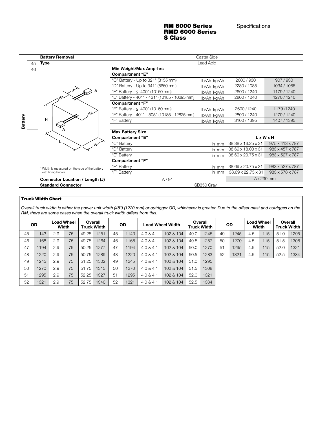#### RM 6000 Series Specifications RMD 6000 Series S Class

|         |    | <b>Battery Removal</b>                         |                                              | Caster Side |                    |                             |  |
|---------|----|------------------------------------------------|----------------------------------------------|-------------|--------------------|-----------------------------|--|
|         | 45 | <b>Type</b>                                    |                                              | Lead Acid   |                    |                             |  |
|         | 46 |                                                | Min Weight/Max Amp-hrs                       |             |                    |                             |  |
|         |    |                                                | <b>Compartment "E"</b>                       |             |                    |                             |  |
|         |    |                                                | "C" Battery - Up to 321" (8155 mm)           | lb/Ah kg/Ah | 2000/930           | 907/930                     |  |
|         |    |                                                | "D" Battery - Up to 341" (8660 mm)           | lb/Ah kg/Ah | 2280 / 1085        | 1034 / 1085                 |  |
|         |    |                                                | "E" Battery - $\leq 400$ " (10160 mm)        | lb/Ah kg/Ah | 2600 / 1240        | 1179 / 1240                 |  |
|         |    |                                                | "E" Battery - 401" - 421" (10185 - 10695 mm) | lb/Ah kg/Ah | 2800/1240          | 1270/1240                   |  |
|         |    |                                                | <b>Compartment "F"</b>                       |             |                    |                             |  |
|         |    |                                                | "E" Battery - $\leq 400$ " (10160 mm)        | lb/Ah kg/Ah | 2600/1240          | 1179/1240                   |  |
|         |    |                                                | "E" Battery - 401" - 505" (10185 - 12825 mm) | lb/Ah kg/Ah | 2800 / 1240        | 1270/1240                   |  |
| Battery |    | н                                              | "F" Battery                                  | lb/Ah kg/Ah | 3100 / 1395        | 1407 / 1395                 |  |
|         |    |                                                |                                              |             |                    |                             |  |
|         |    |                                                | <b>Max Battery Size</b>                      |             |                    |                             |  |
|         |    |                                                | <b>Compartment "E"</b>                       |             | <b>LxWxH</b>       |                             |  |
|         |    | $M^*$                                          | "C" Battery                                  | in mm       | 38.38 x 16.25 x 31 | $975 \times 413 \times 787$ |  |
|         |    |                                                | "D" Battery                                  | in mm       | 38.69 x 18.00 x 31 | 983 x 457 x 787             |  |
|         |    |                                                | "E" Battery                                  | in mm       | 38.69 x 20.75 x 31 | $983 \times 527 \times 787$ |  |
|         |    |                                                | <b>Compartment "F"</b>                       |             |                    |                             |  |
|         |    | * Width is measured on the side of the battery | "E" Battery                                  | in mm       | 38.69 x 20.75 x 31 | $983 \times 527 \times 787$ |  |
|         |    | with lifting hooks                             | "F" Battery                                  | in mm       | 38.69 x 22.75 x 31 | 983 x 578 x 787             |  |
|         |    | Connector Location / Length (J)                | A/9"                                         |             | $A/230$ mm         |                             |  |
|         |    | <b>Standard Connector</b>                      | SB350 Gray                                   |             |                    |                             |  |

#### Truck Width Chart

Overall truck width is either the power unit width (48") (1220 mm) or outrigger OD, whichever is greater. Due to the offset mast and outrigges on the RM, there are some cases when the overall truck width differs from this.

|    | <b>OD</b> |     | <b>Load Wheel</b><br>Width |       | Overall<br>Truck Width |    | <b>OD</b> |           | Load Wheel Width | Overall<br><b>Truck Width</b> |      | <b>OD</b> |      |     | <b>Load Wheel</b><br>Width | Overall<br><b>Truck Width</b> |      |
|----|-----------|-----|----------------------------|-------|------------------------|----|-----------|-----------|------------------|-------------------------------|------|-----------|------|-----|----------------------------|-------------------------------|------|
| 45 | 1143      | 2.9 | 75                         | 49.25 | 1251                   | 45 | 1143      | 4.0 & 4.1 | 102 & 104        | 49.0                          | 1245 | 49        | 1245 | 4.5 | 115                        | 51.0                          | 1295 |
| 46 | 1168      | 2.9 | 75                         | 49.75 | 1264                   | 46 | 1168      | 4.0 & 4.1 | 102 & 104        | 49.5                          | 1257 | 50        | 1270 | 4.5 | 115                        | 51.5                          | 1308 |
| 47 | 1194      | 2.9 | 75                         | 50.25 | 1277                   | 47 | 1194      | 4.0 & 4.1 | 102 & 104        | 50.0                          | 1270 | 51        | 1295 | 4.5 | 115                        | 52.0                          | 1321 |
| 48 | 1220      | 2.9 | 75                         | 50.75 | 1289                   | 48 | 1220      | 4.0 & 4.1 | 102 & 104        | 50.5                          | 1283 | 52        | 1321 | 4.5 | 115                        | 52.5                          | 1334 |
| 49 | 1245      | 2.9 | 75                         | 51.25 | 1302                   | 49 | 1245      | 4.0 & 4.1 | 102 & 104        | 51.0                          | 1295 |           |      |     |                            |                               |      |
| 50 | 1270      | 2.9 | 75                         | 51.75 | 1315                   | 50 | 1270      | 4.0 & 4.1 | 102 & 104        | 51.5                          | 1308 |           |      |     |                            |                               |      |
| 51 | 1295      | 2.9 | 75                         | 52.25 | 1327                   | 51 | 1295      | 4.0 & 4.1 | 102 & 104        | 52.0                          | 1321 |           |      |     |                            |                               |      |
| 52 | 1321      | 2.9 | 75                         | 52.75 | 1340                   | 52 | 1321      | 4.0 & 4.1 | 102 & 104        | 52.5                          | 1334 |           |      |     |                            |                               |      |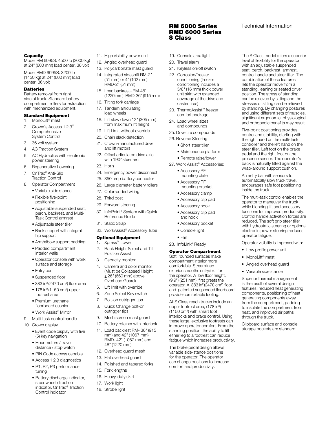#### **Capacity**

Model RM 6095S: 4500 lb (2000 kg) at 24" (600 mm) load center, 36 volt

Model RMD 6095S: 3200 lb (1450 kg) at 24" (600 mm) load center, 36 volt

#### **Batteries**

Battery removal from right side of truck. Standard battery compartment rollers for extraction with mechanized equipment.

#### Standard Equipment

1. MonoLift® mast

- 2. Crown's Access 1 2 3® Comprehensive System Control
- 3. 36 volt system
- 4. AC Traction System
- 5. AC Hydraulics with electronic power steering
- 6. Regenerative Lowering
- 7. OnTrac® Anti-Slip Traction Control
- 8. Operator Compartment
- Variable side stance
	- Flexible five-point positioning
	- Adjustable suspended seat, perch, backrest, and Multi-Task Control armrest
	- Adjustable steer tiller
	- Back support with integral hip support
	- Arm/elbow support padding
	- Padded compartment interior walls
	- Operator console with work surface and storage
	- Entry bar
	- Suspended floor
- $\bullet$  383 in<sup>2</sup> (2470 cm<sup>2</sup>) floor area
- $\bullet$  178 in<sup>2</sup> (1150 cm<sup>2</sup>) upper footrest area
	- Premium urethane floorboard cushion
	- Work Assist® Mirror
- 9. Multi-task control handle
- 10. Crown display
	- Event code display with five (5) key navigation
	- Hour meters / travel distance / stop watch
	- PIN Code access capable
	- Access 1 2 3 diagnostics
	- P1, P2, P3 performance tuning
	- Battery discharge indicator, steer wheel direction indicator, OnTrac® Traction Control indicator
- 11. High visibility power unit
- 12. Angled overhead guard
- 13. Polycarbonate mast guard
- 14. Integrated sideshift RM-2" (51 mm) or 4" (102 mm), RMD-2" (51 mm)
- 15. Load backrest– RM-48" (1220 mm), RMD-36" (915 mm)
- 16. Tilting fork carriage
- 17. Tandem articulating load wheels
- 18. Lift slow down 12" (305 mm) from maximum lift height
- 19. Lift Limit without override
- 20. Chain slack detection
- 21. Crown-manufactured drive and lift motors
- 22. Offset articulated drive axle with 190º steer arc
- 23. Horn
- 24. Emergency power disconnect
- 25. 350 amp battery connector
- 26. Large diameter battery rollers
- 27. Color-coded wiring
- 28. Third post
- 29. Forward steering
- 30. InfoPoint® System with Quick Reference Guide
- 31. Static Strap
- 32. WorkAssist® Accessory Tube

#### Optional Equipment

- 1. Xpress™ Lower 2. Rack Height Select and Tilt
- Position Assist
- 3. Capacity monitor
- 4. Camera and color monitor (Must be Collapsed Height 26" (660 mm) above Overhead Guard)
- 5. Lift limit with override
- 6. Zone Select Key switch
- 7. Bolt-on outrigger tips
- 8. Quick Change bolt-on outrigger tips
- Mesh screen mast guard
- 10. Battery retainer with interlock
- 11. Load backrest RM- 36" (915 mm) and 42" (1067 mm) RMD- 42" (1067 mm) and 48" (1220 mm)
- 12. Overhead guard mesh
- 13. Flat overhead guard
- 14. Polished and tapered forks
- 15. Fork lengths
- 16. Heavy-duty skirt
- 17. Work light
- 18. Strobe light

#### RM 6000 Series Technical Information RMD 6000 Series S Class

The S Class model offers a superior level of flexibility for the operator with an adjustable suspended seat, perch, backrest, armrest, control handle and steer tiller. The combination of these features lets the operator move from a standing, leaning or seated driver position. The stress of standing can be relieved by sitting and the stresses of sitting can be relieved by standing. By changing postures and using different sets of muscles, significant ergonomic, physiological and orthopedic benefits may result. Five-point positioning provides control and stability, starting with the right hand on the multi-task controller and the left hand on the steer tiller. Left foot on the brake pedal and the right foot on the presence sensor. The operator's back is naturally fitted against the wrap-around support cushion. An entry bar with sensors to automatically slow truck travel, encourages safe foot positioning

inside the truck.

operator fatigue.

through the truck.

Clipboard surface and console storage pockets are standard.

The multi-task control enables the operator to maneuver the truck while blending lift and accessory functions for improved productivity. Control handle activation forces are reduced. The soft grip steer tiller with hydrostatic steering or optional electronic power steering reduces

Operator visibility is improved with:

• Low profile power unit • MonoLift<sup>®</sup> mast • Angled overhead guard • Variable side stance Superior thermal management is the result of several design features: reduced heat generating components, positioning of heat generating components away from the compartment, padding to insulate the compartment from heat, and improved air paths

- 19. Console area light
- 20. Travel alarm
- 21. Keyless on/off switch 22. Corrosion/freezer
- conditioning (freezer conditioning includes a 5/8" (16 mm) thick power unit skirt with extended coverage of the drive and caster tires)
- 23. ThermoAssist™ freezer comfort package
- 24. Load wheel sizes and compounds
- 25. Drive tire compounds
- 26. Reverse Steering
	- Short steer tiller
	- Maintenance platform
	- Remote raise/lower
- 27. Work Assist® Accessories:
	- Accessory RF mounting plate
	- Accessory RF mounting bracket
	- Accessory clamp
	- Accessory clip pad
	- Accessory hook
	- Accessory clip pad and hook
	- Accessory pocket

Operator Compartment Soft, rounded surfaces make compartment interior more comfortable. Streamlined exterior smooths entry/exit for the operator. A low floor height, (9.9") (251 mm), first greets the operator. A 383 in<sup>2</sup> (2470 cm<sup>2</sup>) floor and patented suspended floorboard provide comfortable footing. All S Class reach trucks include an upper footrest area, (178 in<sup>2</sup>) (1150 cm<sup>2</sup> ) with smart foot interlocks and brake control. Using these large, exclusive footrests can improve operator comfort. From the standing position, the ability to lift either leg to a footrest can reduce fatigue which increases productivity. The brake pedal design allows variable side-stance positions for the operator. The operator can change positions to increase comfort and productivity.

- Console light
- Fan
- 28. InfoLink® Ready